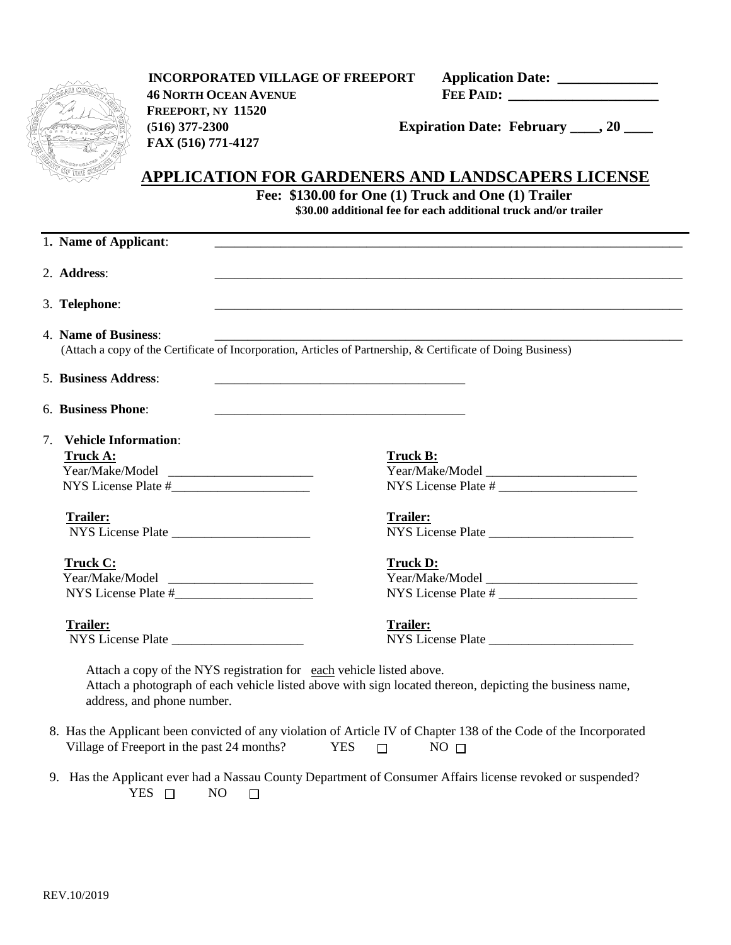

 **INCORPORATED VILLAGE OF FREEPORT Application Date: \_\_\_\_\_\_\_\_\_\_\_\_\_\_ 46 NORTH OCEAN AVENUE FEE PAID: \_\_\_\_\_\_\_\_\_\_\_\_\_\_\_\_\_\_\_\_\_ FREEPORT, NY 11520 (516) 377-2300 Expiration Date: February \_\_\_\_, 20 \_\_\_\_ FAX (516) 771-4127**

### **APPLICATION FOR GARDENERS AND LANDSCAPERS LICENSE**

**Fee: \$130.00 for One (1) Truck and One (1) Trailer \$30.00 additional fee for each additional truck and/or trailer**

|    | 1. Name of Applicant:                                                                                                                                                                                          |                                        |
|----|----------------------------------------------------------------------------------------------------------------------------------------------------------------------------------------------------------------|----------------------------------------|
|    | 2. Address:                                                                                                                                                                                                    |                                        |
|    | 3. Telephone:                                                                                                                                                                                                  |                                        |
|    | 4. Name of Business:<br>(Attach a copy of the Certificate of Incorporation, Articles of Partnership, & Certificate of Doing Business)                                                                          |                                        |
|    | 5. Business Address:                                                                                                                                                                                           |                                        |
|    | 6. Business Phone:                                                                                                                                                                                             |                                        |
| 7. | <b>Vehicle Information:</b><br><b>Truck A:</b>                                                                                                                                                                 | <b>Truck B:</b>                        |
|    | <b>Trailer:</b>                                                                                                                                                                                                | Trailer:<br>NYS License Plate          |
|    | <b>Truck C:</b>                                                                                                                                                                                                | <b>Truck D:</b><br>NYS License Plate # |
|    | <b>Trailer:</b><br>NYS License Plate                                                                                                                                                                           | <b>Trailer:</b>                        |
|    | Attach a copy of the NYS registration for each vehicle listed above.<br>Attach a photograph of each vehicle listed above with sign located thereon, depicting the business name,<br>address, and phone number. |                                        |
|    | 8. Has the Applicant been convicted of any violation of Article IV of Chapter 138 of the Code of the Incorporated<br>Village of Freeport in the past 24 months?<br><b>YES</b><br>NO <sub>1</sub><br>$\Box$     |                                        |

 9. Has the Applicant ever had a Nassau County Department of Consumer Affairs license revoked or suspended?  $YES \t{N0}$  $\Box$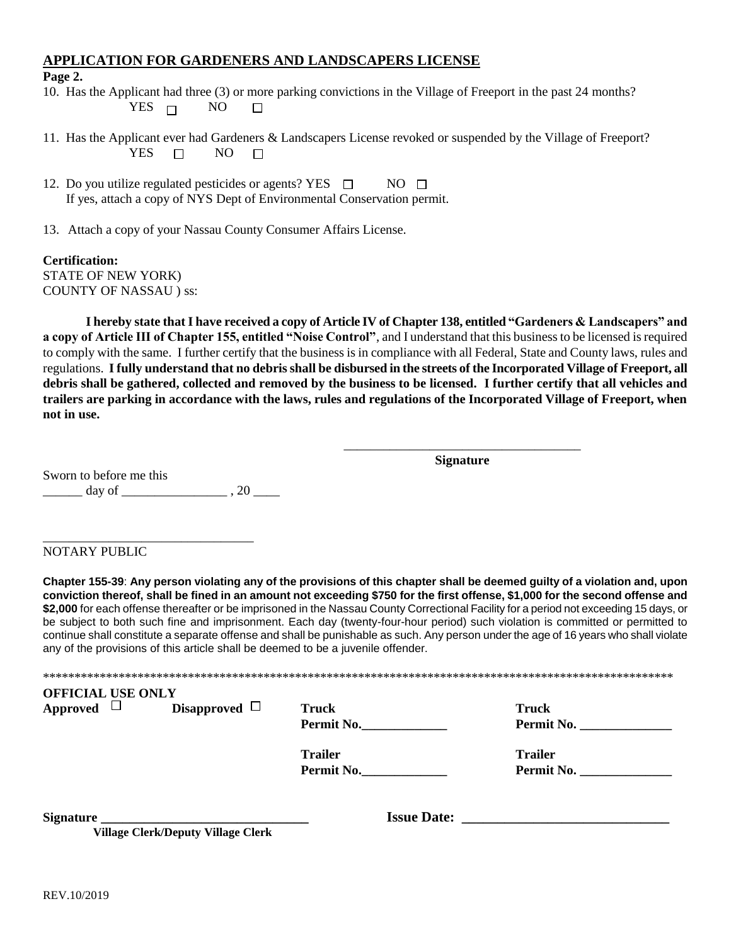#### **APPLICATION FOR GARDENERS AND LANDSCAPERS LICENSE**

#### **Page 2.**

10. Has the Applicant had three (3) or more parking convictions in the Village of Freeport in the past 24 months? YES  $\Box$  NO  $\Box$ 

- 11. Has the Applicant ever had Gardeners & Landscapers License revoked or suspended by the Village of Freeport?  $YES \tN0$  $\Box$
- 12. Do you utilize regulated pesticides or agents? YES  $\Box$  NO  $\Box$ If yes, attach a copy of NYS Dept of Environmental Conservation permit.
- 13. Attach a copy of your Nassau County Consumer Affairs License.

#### **Certification:** STATE OF NEW YORK) COUNTY OF NASSAU ) ss:

**I hereby state that I have received a copy of Article IV of Chapter 138, entitled "Gardeners & Landscapers" and a copy of Article III of Chapter 155, entitled "Noise Control"**, and I understand that this business to be licensed is required to comply with the same. I further certify that the business is in compliance with all Federal, State and County laws, rules and regulations. **I fully understand that no debris shall be disbursed in the streets of the Incorporated Village of Freeport, all debris shall be gathered, collected and removed by the business to be licensed. I further certify that all vehicles and trailers are parking in accordance with the laws, rules and regulations of the Incorporated Village of Freeport, when not in use.**

> \_\_\_\_\_\_\_\_\_\_\_\_\_\_\_\_\_\_\_\_\_\_\_\_\_\_\_\_\_\_\_\_\_\_\_\_ **Signature**

Sworn to before me this  $\frac{day}{f}$  of  $\frac{dy}{f}$ , 20

\_\_\_\_\_\_\_\_\_\_\_\_\_\_\_\_\_\_\_\_\_\_\_\_\_\_\_\_\_\_\_\_

#### NOTARY PUBLIC

**Chapter 155-39**: **Any person violating any of the provisions of this chapter shall be deemed guilty of a violation and, upon conviction thereof, shall be fined in an amount not exceeding \$750 for the first offense, \$1,000 for the second offense and \$2,000** for each offense thereafter or be imprisoned in the Nassau County Correctional Facility for a period not exceeding 15 days, or be subject to both such fine and imprisonment. Each day (twenty-four-hour period) such violation is committed or permitted to continue shall constitute a separate offense and shall be punishable as such. Any person under the age of 16 years who shall violate any of the provisions of this article shall be deemed to be a juvenile offender.

\*\*\*\*\*\*\*\*\*\*\*\*\*\*\*\*\*\*\*\*\*\*\*\*\*\*\*\*\*\*\*\*\*\*\*\*\*\*\*\*\*\*\*\*\*\*\*\*\*\*\*\*\*\*\*\*\*\*\*\*\*\*\*\*\*\*\*\*\*\*\*\*\*\*\*\*\*\*\*\*\*\*\*\*\*\*\*\*\*\*\*\*\*\*\*\*\*\*\*\* **OFFICIAL USE ONLY Approved Disapproved Truck Truck**

**Permit No. Permit No.** 

**Trailer Trailer Trailer Permit No. Permit 1** 

**Permit No.\_\_\_\_\_\_\_\_\_\_\_\_\_ Permit No. \_\_\_\_\_\_\_\_\_\_\_\_\_\_**

**Signature \_\_\_\_\_\_\_\_\_\_\_\_\_\_\_\_\_\_\_\_\_\_\_\_\_\_\_\_\_ Issue Date: \_\_\_\_\_\_\_\_\_\_\_\_\_\_\_\_\_\_\_\_\_\_\_\_\_\_\_\_\_** 

 **Village Clerk/Deputy Village Clerk**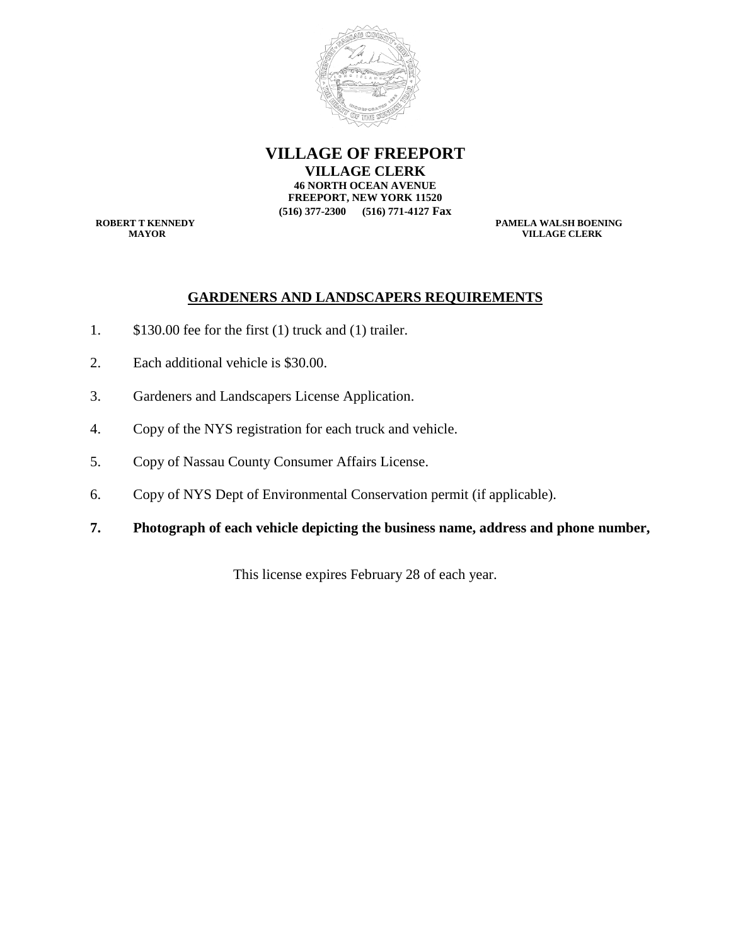

**VILLAGE OF FREEPORT VILLAGE CLERK 46 NORTH OCEAN AVENUE FREEPORT, NEW YORK 11520 (516) 377-2300 (516) 771-4127 Fax**

**ROBERT T KENNEDY**<br> **PAMELA WALSH BOENING**<br> **PAMELA WALSH BOENING**<br> **PAMELA WALSH BOENING VILLAGE CLERK** 

#### **GARDENERS AND LANDSCAPERS REQUIREMENTS**

- 1. \$130.00 fee for the first (1) truck and (1) trailer.
- 2. Each additional vehicle is \$30.00.
- 3. Gardeners and Landscapers License Application.
- 4. Copy of the NYS registration for each truck and vehicle.
- 5. Copy of Nassau County Consumer Affairs License.
- 6. Copy of NYS Dept of Environmental Conservation permit (if applicable).
- **7. Photograph of each vehicle depicting the business name, address and phone number,**

This license expires February 28 of each year.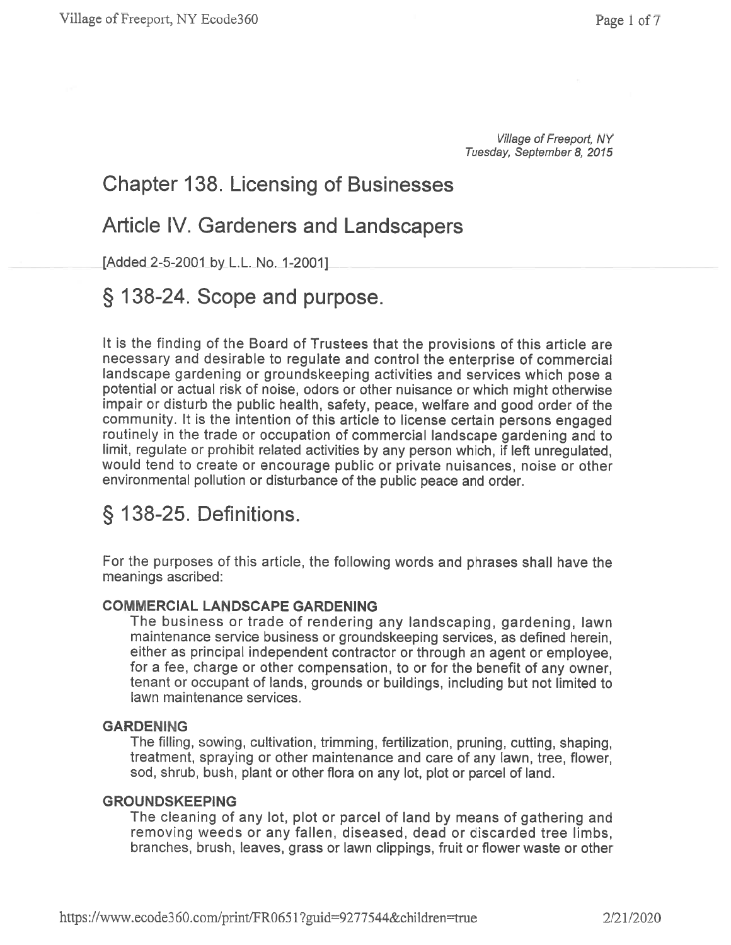Village of Freeport, NY Tuesday, September 8, 2015

### **Chapter 138. Licensing of Businesses**

### **Article IV. Gardeners and Landscapers**

[Added 2-5-2001 by L.L. No. 1-2001]

### § 138-24. Scope and purpose.

It is the finding of the Board of Trustees that the provisions of this article are necessary and desirable to regulate and control the enterprise of commercial landscape gardening or groundskeeping activities and services which pose a potential or actual risk of noise, odors or other nuisance or which might otherwise impair or disturb the public health, safety, peace, welfare and good order of the community. It is the intention of this article to license certain persons engaged routinely in the trade or occupation of commercial landscape gardening and to limit, regulate or prohibit related activities by any person which, if left unregulated, would tend to create or encourage public or private nuisances, noise or other environmental pollution or disturbance of the public peace and order.

## § 138-25. Definitions.

For the purposes of this article, the following words and phrases shall have the meanings ascribed:

### **COMMERCIAL LANDSCAPE GARDENING**

The business or trade of rendering any landscaping, gardening, lawn maintenance service business or groundskeeping services, as defined herein, either as principal independent contractor or through an agent or employee, for a fee, charge or other compensation, to or for the benefit of any owner, tenant or occupant of lands, grounds or buildings, including but not limited to lawn maintenance services.

### **GARDENING**

The filling, sowing, cultivation, trimming, fertilization, pruning, cutting, shaping, treatment, spraying or other maintenance and care of any lawn, tree, flower, sod, shrub, bush, plant or other flora on any lot, plot or parcel of land.

### **GROUNDSKEEPING**

The cleaning of any lot, plot or parcel of land by means of gathering and removing weeds or any fallen, diseased, dead or discarded tree limbs, branches, brush, leaves, grass or lawn clippings, fruit or flower waste or other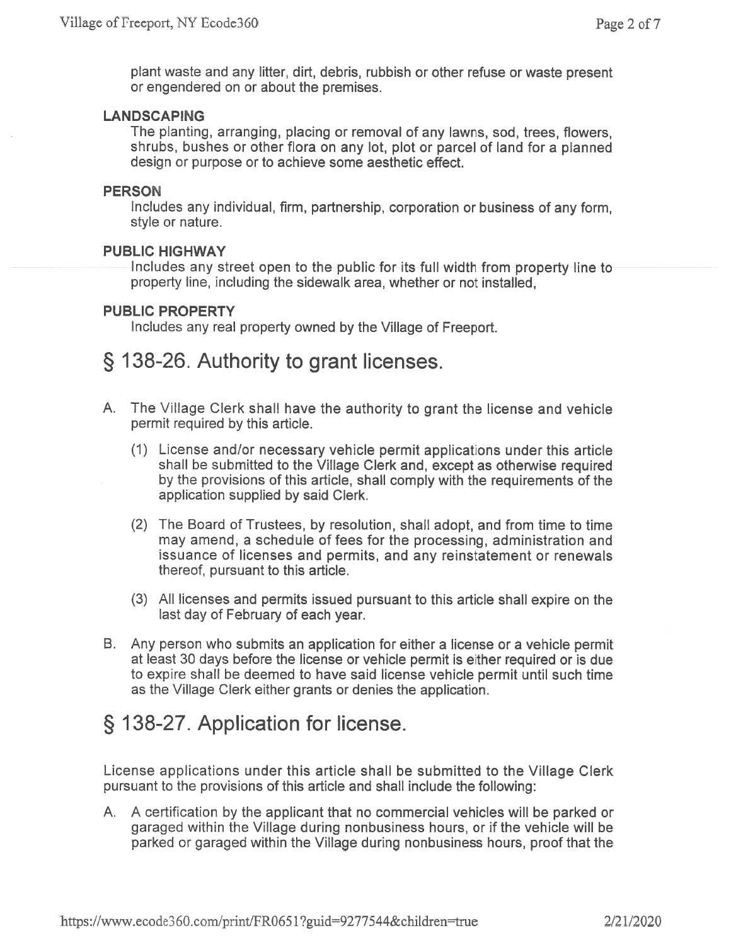plant waste and any litter, dirt, debris, rubbish or other refuse or waste present or engendered on or about the premises.

#### **LANDSCAPING**

The planting, arranging, placing or removal of any lawns, sod, trees, flowers, shrubs, bushes or other flora on any lot, plot or parcel of land for a planned design or purpose or to achieve some aesthetic effect.

#### **PERSON**

Includes any individual, firm, partnership, corporation or business of any form, style or nature.

### **PUBLIC HIGHWAY**

Includes any street open to the public for its full width from property line to property line, including the sidewalk area, whether or not installed,

#### **PUBLIC PROPERTY**

Includes any real property owned by the Village of Freeport.

### § 138-26. Authority to grant licenses.

- A. The Village Clerk shall have the authority to grant the license and vehicle permit required by this article.
	- (1) License and/or necessary vehicle permit applications under this article shall be submitted to the Village Clerk and, except as otherwise required by the provisions of this article, shall comply with the requirements of the application supplied by said Clerk.
	- (2) The Board of Trustees, by resolution, shall adopt, and from time to time may amend, a schedule of fees for the processing, administration and issuance of licenses and permits, and any reinstatement or renewals thereof, pursuant to this article.
	- (3) All licenses and permits issued pursuant to this article shall expire on the last day of February of each year.
- B. Any person who submits an application for either a license or a vehicle permit at least 30 days before the license or vehicle permit is either required or is due to expire shall be deemed to have said license vehicle permit until such time as the Village Clerk either grants or denies the application.

### § 138-27. Application for license.

License applications under this article shall be submitted to the Village Clerk pursuant to the provisions of this article and shall include the following:

A. A certification by the applicant that no commercial vehicles will be parked or garaged within the Village during nonbusiness hours, or if the vehicle will be parked or garaged within the Village during nonbusiness hours, proof that the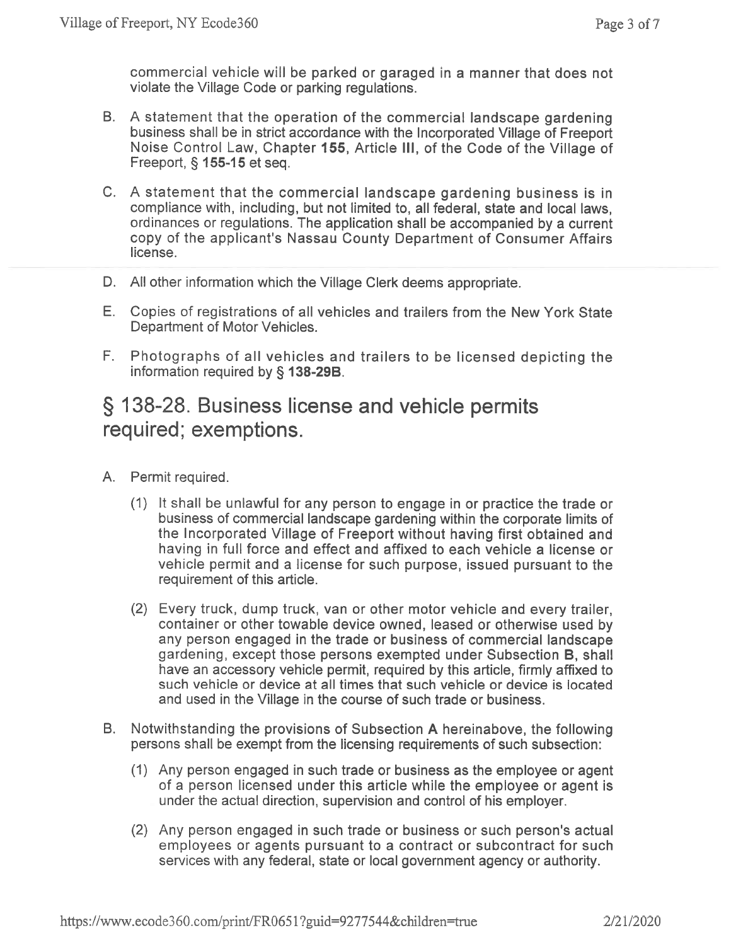commercial vehicle will be parked or garaged in a manner that does not violate the Village Code or parking regulations.

- B. A statement that the operation of the commercial landscape gardening business shall be in strict accordance with the Incorporated Village of Freeport Noise Control Law, Chapter 155, Article III, of the Code of the Village of Freeport, § 155-15 et seq.
- C. A statement that the commercial landscape gardening business is in compliance with, including, but not limited to, all federal, state and local laws. ordinances or regulations. The application shall be accompanied by a current copy of the applicant's Nassau County Department of Consumer Affairs license
- D. All other information which the Village Clerk deems appropriate.
- E. Copies of registrations of all vehicles and trailers from the New York State Department of Motor Vehicles.
- F. Photographs of all vehicles and trailers to be licensed depicting the information required by § 138-29B.

### § 138-28. Business license and vehicle permits required; exemptions.

- A. Permit required.
	- (1) It shall be unlawful for any person to engage in or practice the trade or business of commercial landscape gardening within the corporate limits of the Incorporated Village of Freeport without having first obtained and having in full force and effect and affixed to each vehicle a license or vehicle permit and a license for such purpose, issued pursuant to the requirement of this article.
	- (2) Every truck, dump truck, van or other motor vehicle and every trailer, container or other towable device owned, leased or otherwise used by any person engaged in the trade or business of commercial landscape gardening, except those persons exempted under Subsection B, shall have an accessory vehicle permit, required by this article, firmly affixed to such vehicle or device at all times that such vehicle or device is located and used in the Village in the course of such trade or business.
- B. Notwithstanding the provisions of Subsection A hereinabove, the following persons shall be exempt from the licensing requirements of such subsection:
	- (1) Any person engaged in such trade or business as the employee or agent of a person licensed under this article while the employee or agent is under the actual direction, supervision and control of his employer.
	- (2) Any person engaged in such trade or business or such person's actual employees or agents pursuant to a contract or subcontract for such services with any federal, state or local government agency or authority.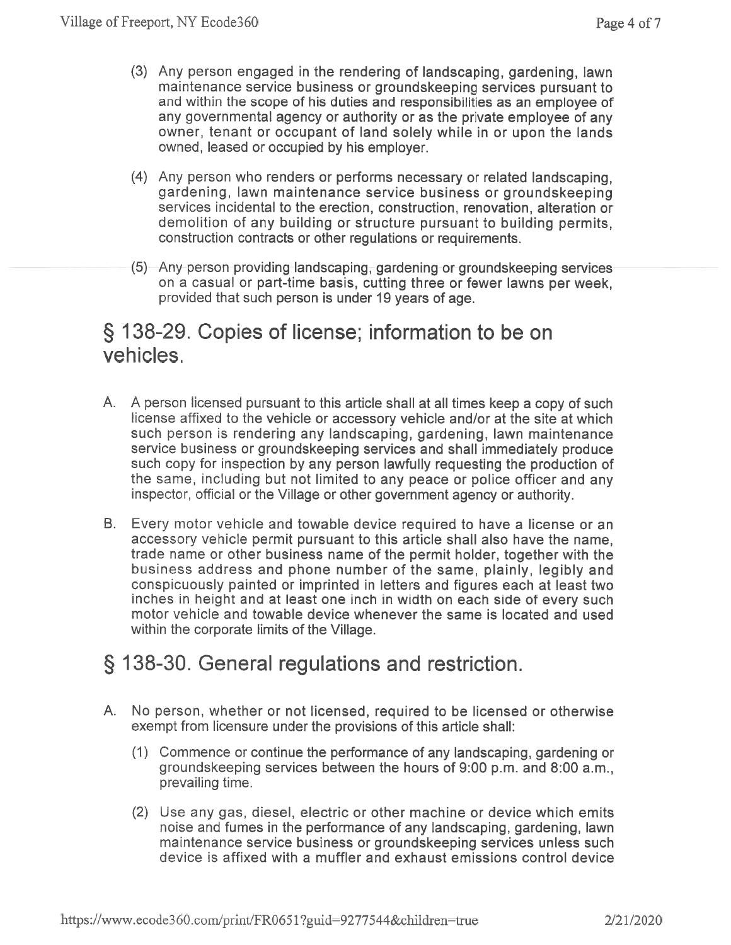- (3) Any person engaged in the rendering of landscaping, gardening, lawn maintenance service business or groundskeeping services pursuant to and within the scope of his duties and responsibilities as an employee of any governmental agency or authority or as the private employee of any owner, tenant or occupant of land solely while in or upon the lands owned, leased or occupied by his employer.
- (4) Any person who renders or performs necessary or related landscaping, gardening, lawn maintenance service business or groundskeeping services incidental to the erection, construction, renovation, alteration or demolition of any building or structure pursuant to building permits, construction contracts or other regulations or requirements.
- (5) Any person providing landscaping, gardening or groundskeeping services on a casual or part-time basis, cutting three or fewer lawns per week, provided that such person is under 19 years of age.

### § 138-29. Copies of license; information to be on vehicles.

- A. A person licensed pursuant to this article shall at all times keep a copy of such license affixed to the vehicle or accessory vehicle and/or at the site at which such person is rendering any landscaping, gardening, lawn maintenance service business or groundskeeping services and shall immediately produce such copy for inspection by any person lawfully requesting the production of the same, including but not limited to any peace or police officer and any inspector, official or the Village or other government agency or authority.
- B. Every motor vehicle and towable device required to have a license or an accessory vehicle permit pursuant to this article shall also have the name, trade name or other business name of the permit holder, together with the business address and phone number of the same, plainly, legibly and conspicuously painted or imprinted in letters and figures each at least two inches in height and at least one inch in width on each side of every such motor vehicle and towable device whenever the same is located and used within the corporate limits of the Village.

## § 138-30. General regulations and restriction.

- A. No person, whether or not licensed, required to be licensed or otherwise exempt from licensure under the provisions of this article shall:
	- (1) Commence or continue the performance of any landscaping, gardening or groundskeeping services between the hours of 9:00 p.m. and 8:00 a.m., prevailing time.
	- (2) Use any gas, diesel, electric or other machine or device which emits noise and fumes in the performance of any landscaping, gardening, lawn maintenance service business or groundskeeping services unless such device is affixed with a muffler and exhaust emissions control device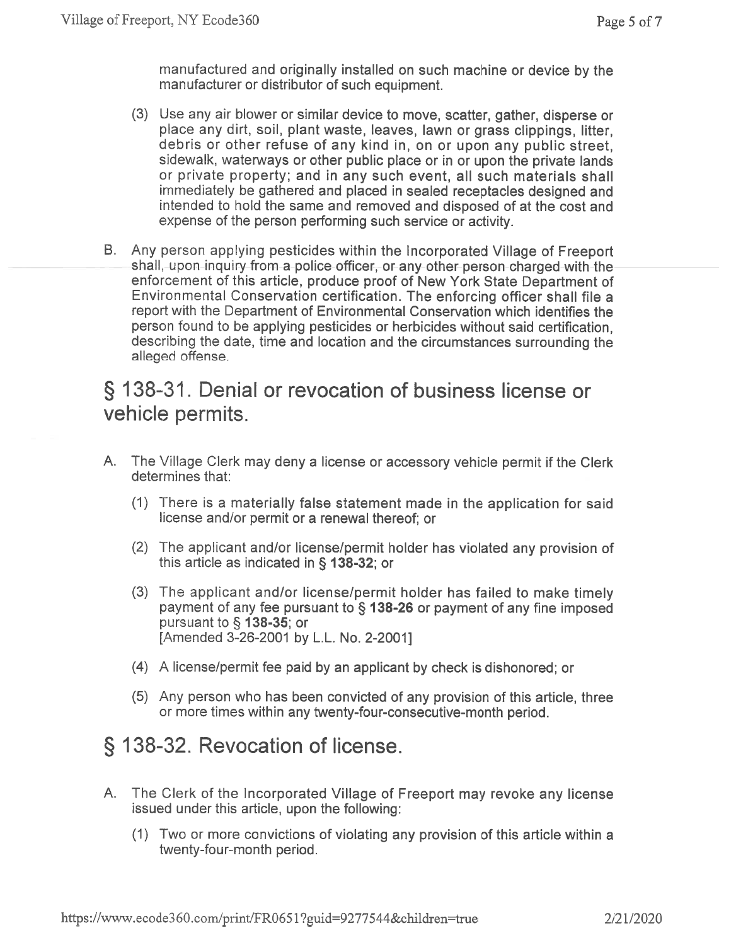manufactured and originally installed on such machine or device by the manufacturer or distributor of such equipment.

- (3) Use any air blower or similar device to move, scatter, gather, disperse or place any dirt, soil, plant waste, leaves, lawn or grass clippings, litter, debris or other refuse of any kind in, on or upon any public street, sidewalk, waterways or other public place or in or upon the private lands or private property; and in any such event, all such materials shall immediately be gathered and placed in sealed receptacles designed and intended to hold the same and removed and disposed of at the cost and expense of the person performing such service or activity.
- B. Any person applying pesticides within the Incorporated Village of Freeport shall, upon inquiry from a police officer, or any other person charged with the enforcement of this article, produce proof of New York State Department of Environmental Conservation certification. The enforcing officer shall file a report with the Department of Environmental Conservation which identifies the person found to be applying pesticides or herbicides without said certification, describing the date, time and location and the circumstances surrounding the alleged offense.

### § 138-31. Denial or revocation of business license or vehicle permits.

- A. The Village Clerk may deny a license or accessory vehicle permit if the Clerk determines that:
	- (1) There is a materially false statement made in the application for said license and/or permit or a renewal thereof; or
	- (2) The applicant and/or license/permit holder has violated any provision of this article as indicated in § 138-32; or
	- (3) The applicant and/or license/permit holder has failed to make timely payment of any fee pursuant to § 138-26 or payment of any fine imposed pursuant to § 138-35; or [Amended 3-26-2001 by L.L. No. 2-2001]
	- (4) A license/permit fee paid by an applicant by check is dishonored; or
	- (5) Any person who has been convicted of any provision of this article, three or more times within any twenty-four-consecutive-month period.

## § 138-32. Revocation of license.

- A. The Clerk of the Incorporated Village of Freeport may revoke any license issued under this article, upon the following:
	- (1) Two or more convictions of violating any provision of this article within a twenty-four-month period.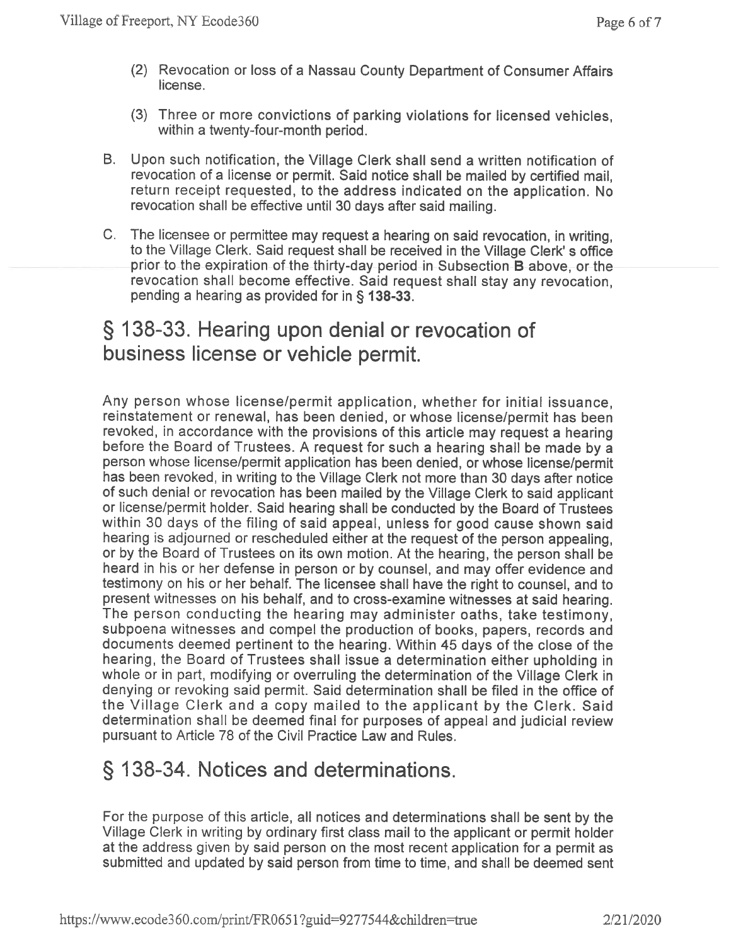- (2) Revocation or loss of a Nassau County Department of Consumer Affairs license.
- (3) Three or more convictions of parking violations for licensed vehicles, within a twenty-four-month period.
- B. Upon such notification, the Village Clerk shall send a written notification of revocation of a license or permit. Said notice shall be mailed by certified mail. return receipt requested, to the address indicated on the application. No revocation shall be effective until 30 days after said mailing.
- C. The licensee or permittee may request a hearing on said revocation, in writing. to the Village Clerk. Said request shall be received in the Village Clerk's office prior to the expiration of the thirty-day period in Subsection B above, or the revocation shall become effective. Said request shall stay any revocation, pending a hearing as provided for in § 138-33.

### § 138-33. Hearing upon denial or revocation of business license or vehicle permit.

Any person whose license/permit application, whether for initial issuance. reinstatement or renewal, has been denied, or whose license/permit has been revoked, in accordance with the provisions of this article may request a hearing before the Board of Trustees. A request for such a hearing shall be made by a person whose license/permit application has been denied, or whose license/permit has been revoked, in writing to the Village Cierk not more than 30 days after notice of such denial or revocation has been mailed by the Village Clerk to said applicant or license/permit holder. Said hearing shall be conducted by the Board of Trustees within 30 days of the filing of said appeal, unless for good cause shown said hearing is adjourned or rescheduled either at the request of the person appealing, or by the Board of Trustees on its own motion. At the hearing, the person shall be heard in his or her defense in person or by counsel, and may offer evidence and testimony on his or her behalf. The licensee shall have the right to counsel, and to present witnesses on his behalf, and to cross-examine witnesses at said hearing. The person conducting the hearing may administer oaths, take testimony, subpoena witnesses and compel the production of books, papers, records and documents deemed pertinent to the hearing. Within 45 days of the close of the hearing, the Board of Trustees shall issue a determination either upholding in whole or in part, modifying or overruling the determination of the Village Clerk in denying or revoking said permit. Said determination shall be filed in the office of the Village Clerk and a copy mailed to the applicant by the Clerk. Said determination shall be deemed final for purposes of appeal and judicial review pursuant to Article 78 of the Civil Practice Law and Rules.

### § 138-34. Notices and determinations.

For the purpose of this article, all notices and determinations shall be sent by the Village Clerk in writing by ordinary first class mail to the applicant or permit holder at the address given by said person on the most recent application for a permit as submitted and updated by said person from time to time, and shall be deemed sent